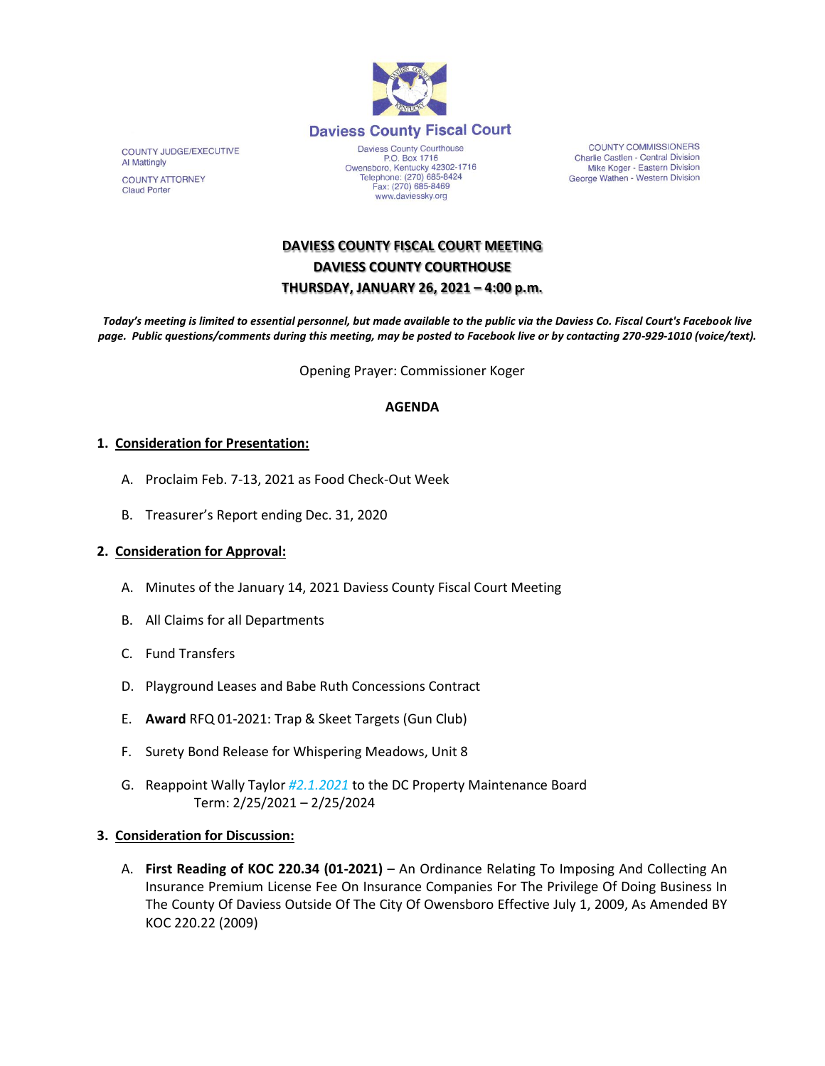

COUNTY JUDGE/EXECUTIVE Al Mattingly

**COUNTY ATTORNEY Claud Porter** 

Daviess County Courthouse P.O. Box 1716<br>
Owensboro, Kentucky 42302-1716<br>
Telephone: (270) 685-8424 Fax: (270) 685-8469 www.daviessky.org

**COUNTY COMMISSIONERS** Charlie Castlen - Central Division<br>Mike Koger - Eastern Division George Wathen - Western Division

# **DAVIESS COUNTY FISCAL COURT MEETING DAVIESS COUNTY COURTHOUSE THURSDAY, JANUARY 26, 2021 – 4:00 p.m.**

*Today's meeting is limited to essential personnel, but made available to the public via the Daviess Co. Fiscal Court's Facebook live page. Public questions/comments during this meeting, may be posted to Facebook live or by contacting 270-929-1010 (voice/text).*

Opening Prayer: Commissioner Koger

### **AGENDA**

### **1. Consideration for Presentation:**

- A. Proclaim Feb. 7-13, 2021 as Food Check-Out Week
- B. Treasurer's Report ending Dec. 31, 2020

## **2. Consideration for Approval:**

- A. Minutes of the January 14, 2021 Daviess County Fiscal Court Meeting
- B. All Claims for all Departments
- C. Fund Transfers
- D. Playground Leases and Babe Ruth Concessions Contract
- E. **Award** RFQ 01-2021: Trap & Skeet Targets (Gun Club)
- F. Surety Bond Release for Whispering Meadows, Unit 8
- G. Reappoint Wally Taylor *#2.1.2021* to the DC Property Maintenance Board Term: 2/25/2021 – 2/25/2024

#### **3. Consideration for Discussion:**

A. **First Reading of KOC 220.34 (01-2021)** – An Ordinance Relating To Imposing And Collecting An Insurance Premium License Fee On Insurance Companies For The Privilege Of Doing Business In The County Of Daviess Outside Of The City Of Owensboro Effective July 1, 2009, As Amended BY KOC 220.22 (2009)